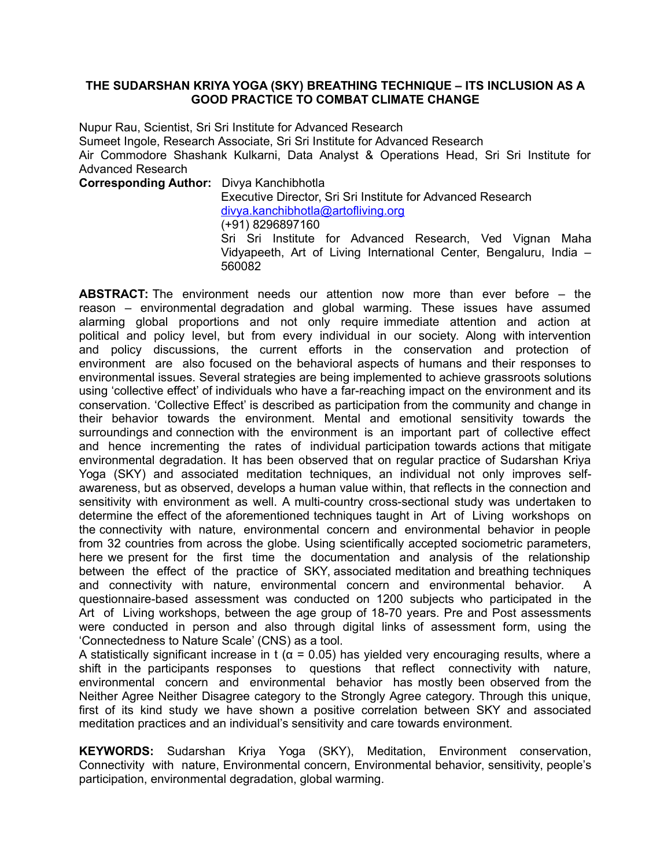### **THE SUDARSHAN KRIYA YOGA (SKY) BREATHING TECHNIQUE – ITS INCLUSION AS A GOOD PRACTICE TO COMBAT CLIMATE CHANGE**

Nupur Rau, Scientist, Sri Sri Institute for Advanced Research Sumeet Ingole, Research Associate, Sri Sri Institute for Advanced Research Air Commodore Shashank Kulkarni, Data Analyst & Operations Head, Sri Sri Institute for Advanced Research

**Corresponding Author:** Divya Kanchibhotla Executive Director, Sri Sri Institute for Advanced Research [divya.kanchibhotla@artofliving.org](mailto:divya.kanchibhotla@artofliving.org) (+91) 8296897160 Sri Sri Institute for Advanced Research, Ved Vignan Maha Vidyapeeth, Art of Living International Center, Bengaluru, India – 560082

**ABSTRACT:** The environment needs our attention now more than ever before – the reason – environmental degradation and global warming. These issues have assumed alarming global proportions and not only require immediate attention and action at political and policy level, but from every individual in our society. Along with intervention and policy discussions, the current efforts in the conservation and protection of environment are also focused on the behavioral aspects of humans and their responses to environmental issues. Several strategies are being implemented to achieve grassroots solutions using 'collective effect' of individuals who have a far-reaching impact on the environment and its conservation. 'Collective Effect' is described as participation from the community and change in their behavior towards the environment. Mental and emotional sensitivity towards the surroundings and connection with the environment is an important part of collective effect and hence incrementing the rates of individual participation towards actions that mitigate environmental degradation. It has been observed that on regular practice of Sudarshan Kriya Yoga (SKY) and associated meditation techniques, an individual not only improves selfawareness, but as observed, develops a human value within, that reflects in the connection and sensitivity with environment as well. A multi-country cross-sectional study was undertaken to determine the effect of the aforementioned techniques taught in Art of Living workshops on the connectivity with nature, environmental concern and environmental behavior in people from 32 countries from across the globe. Using scientifically accepted sociometric parameters, here we present for the first time the documentation and analysis of the relationship between the effect of the practice of SKY, associated meditation and breathing techniques and connectivity with nature, environmental concern and environmental behavior. A questionnaire-based assessment was conducted on 1200 subjects who participated in the Art of Living workshops, between the age group of 18-70 years. Pre and Post assessments were conducted in person and also through digital links of assessment form, using the 'Connectedness to Nature Scale' (CNS) as a tool.

A statistically significant increase in t ( $\alpha$  = 0.05) has yielded very encouraging results, where a shift in the participants responses to questions that reflect connectivity with nature, environmental concern and environmental behavior has mostly been observed from the Neither Agree Neither Disagree category to the Strongly Agree category. Through this unique, first of its kind study we have shown a positive correlation between SKY and associated meditation practices and an individual's sensitivity and care towards environment.

**KEYWORDS:** Sudarshan Kriya Yoga (SKY), Meditation, Environment conservation, Connectivity with nature, Environmental concern, Environmental behavior, sensitivity, people's participation, environmental degradation, global warming.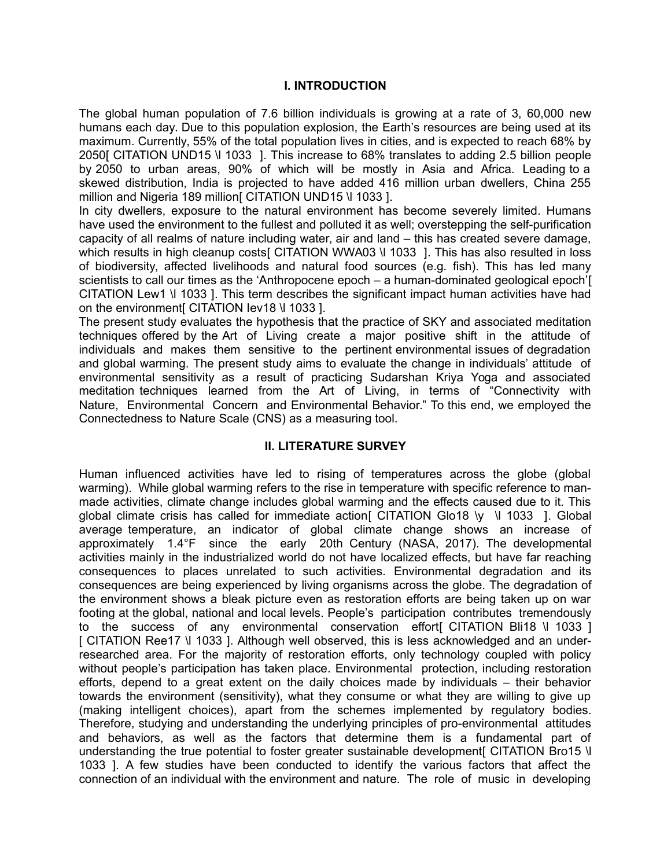# **I. INTRODUCTION**

The global human population of 7.6 billion individuals is growing at a rate of 3, 60,000 new humans each day. Due to this population explosion, the Earth's resources are being used at its maximum. Currently, 55% of the total population lives in cities, and is expected to reach 68% by 2050[ CITATION UND15 \l 1033 ]. This increase to 68% translates to adding 2.5 billion people by 2050 to urban areas, 90% of which will be mostly in Asia and Africa. Leading to a skewed distribution, India is projected to have added 416 million urban dwellers, China 255 million and Nigeria 189 million [CITATION UND15 \l 1033 ].

In city dwellers, exposure to the natural environment has become severely limited. Humans have used the environment to the fullest and polluted it as well; overstepping the self-purification capacity of all realms of nature including water, air and land – this has created severe damage, which results in high cleanup costs[ CITATION WWA03 \l 1033 ]. This has also resulted in loss of biodiversity, affected livelihoods and natural food sources (e.g. fish). This has led many scientists to call our times as the 'Anthropocene epoch – a human-dominated geological epoch'[ CITATION Lew1 \l 1033 ]. This term describes the significant impact human activities have had on the environment [ CITATION Iev18 \l 1033 ].

The present study evaluates the hypothesis that the practice of SKY and associated meditation techniques offered by the Art of Living create a major positive shift in the attitude of individuals and makes them sensitive to the pertinent environmental issues of degradation and global warming. The present study aims to evaluate the change in individuals' attitude of environmental sensitivity as a result of practicing Sudarshan Kriya Yoga and associated meditation techniques learned from the Art of Living, in terms of "Connectivity with Nature, Environmental Concern and Environmental Behavior." To this end, we employed the Connectedness to Nature Scale (CNS) as a measuring tool.

# **II. LITERATURE SURVEY**

Human influenced activities have led to rising of temperatures across the globe (global warming). While global warming refers to the rise in temperature with specific reference to manmade activities, climate change includes global warming and the effects caused due to it. This global climate crisis has called for immediate action CITATION Glo18 \v \l 1033 ]. Global average temperature, an indicator of global climate change shows an increase of approximately 1.4°F since the early 20th Century (NASA, 2017). The developmental activities mainly in the industrialized world do not have localized effects, but have far reaching consequences to places unrelated to such activities. Environmental degradation and its consequences are being experienced by living organisms across the globe. The degradation of the environment shows a bleak picture even as restoration efforts are being taken up on war footing at the global, national and local levels. People's participation contributes tremendously to the success of any environmental conservation effort[ CITATION Bli18 \l 1033 ] [ CITATION Ree17 \l 1033 ]. Although well observed, this is less acknowledged and an underresearched area. For the majority of restoration efforts, only technology coupled with policy without people's participation has taken place. Environmental protection, including restoration efforts, depend to a great extent on the daily choices made by individuals – their behavior towards the environment (sensitivity), what they consume or what they are willing to give up (making intelligent choices), apart from the schemes implemented by regulatory bodies. Therefore, studying and understanding the underlying principles of pro-environmental attitudes and behaviors, as well as the factors that determine them is a fundamental part of understanding the true potential to foster greater sustainable development [ CITATION Bro15 \] 1033 ]. A few studies have been conducted to identify the various factors that affect the connection of an individual with the environment and nature. The role of music in developing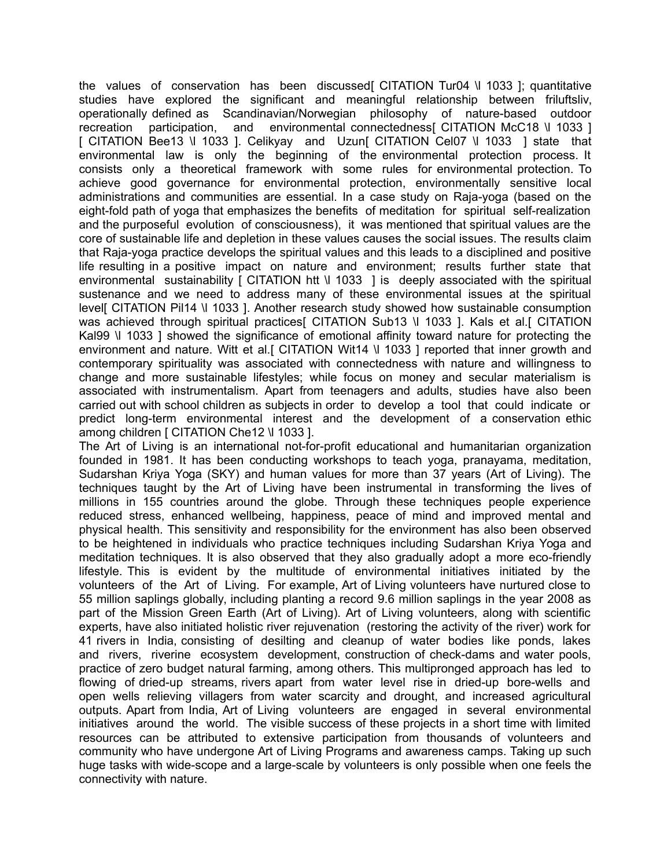the values of conservation has been discussed [CITATION Tur04 \l 1033 ]; quantitative studies have explored the significant and meaningful relationship between friluftsliv, operationally defined as Scandinavian/Norwegian philosophy of nature-based outdoor recreation participation, and environmental connectedness CITATION McC18 \l 1033 ] recreation participation, and environmental connectedness [CITATION McC18 \l 1033 ] [ CITATION Bee13 \l 1033 ]. Celikyay and Uzun[ CITATION Cel07 \l 1033 ] state that environmental law is only the beginning of the environmental protection process. It consists only a theoretical framework with some rules for environmental protection. To achieve good governance for environmental protection, environmentally sensitive local administrations and communities are essential. In a case study on Raja-yoga (based on the eight-fold path of yoga that emphasizes the benefits of meditation for spiritual self-realization and the purposeful evolution of consciousness), it was mentioned that spiritual values are the core of sustainable life and depletion in these values causes the social issues. The results claim that Raja-yoga practice develops the spiritual values and this leads to a disciplined and positive life resulting in a positive impact on nature and environment; results further state that environmental sustainability  $\int$  CITATION htt \l 1033 \ 1 is deeply associated with the spiritual sustenance and we need to address many of these environmental issues at the spiritual level[ CITATION Pil14 \l 1033 ]. Another research study showed how sustainable consumption was achieved through spiritual practices<sup>[</sup> CITATION Sub13 \l 1033 ]. Kals et al.[ CITATION Kal99 \l 1033 ] showed the significance of emotional affinity toward nature for protecting the environment and nature. Witt et al. [ CITATION Wit14 \l 1033 ] reported that inner growth and contemporary spirituality was associated with connectedness with nature and willingness to change and more sustainable lifestyles; while focus on money and secular materialism is associated with instrumentalism. Apart from teenagers and adults, studies have also been carried out with school children as subjects in order to develop a tool that could indicate or predict long-term environmental interest and the development of a conservation ethic among children [ CITATION Che12 \l 1033 ].

The Art of Living is an international not-for-profit educational and humanitarian organization founded in 1981. It has been conducting workshops to teach yoga, pranayama, meditation, Sudarshan Kriya Yoga (SKY) and human values for more than 37 years (Art of Living). The techniques taught by the Art of Living have been instrumental in transforming the lives of millions in 155 countries around the globe. Through these techniques people experience reduced stress, enhanced wellbeing, happiness, peace of mind and improved mental and physical health. This sensitivity and responsibility for the environment has also been observed to be heightened in individuals who practice techniques including Sudarshan Kriya Yoga and meditation techniques. It is also observed that they also gradually adopt a more eco-friendly lifestyle. This is evident by the multitude of environmental initiatives initiated by the volunteers of the Art of Living. For example, Art of Living volunteers have nurtured close to 55 million saplings globally, including planting a record 9.6 million saplings in the year 2008 as part of the Mission Green Earth (Art of Living). Art of Living volunteers, along with scientific experts, have also initiated holistic river rejuvenation (restoring the activity of the river) work for 41 rivers in India, consisting of desilting and cleanup of water bodies like ponds, lakes and rivers, riverine ecosystem development, construction of check-dams and water pools, practice of zero budget natural farming, among others. This multipronged approach has led to flowing of dried-up streams, rivers apart from water level rise in dried-up bore-wells and open wells relieving villagers from water scarcity and drought, and increased agricultural outputs. Apart from India, Art of Living volunteers are engaged in several environmental initiatives around the world. The visible success of these projects in a short time with limited resources can be attributed to extensive participation from thousands of volunteers and community who have undergone Art of Living Programs and awareness camps. Taking up such huge tasks with wide-scope and a large-scale by volunteers is only possible when one feels the connectivity with nature.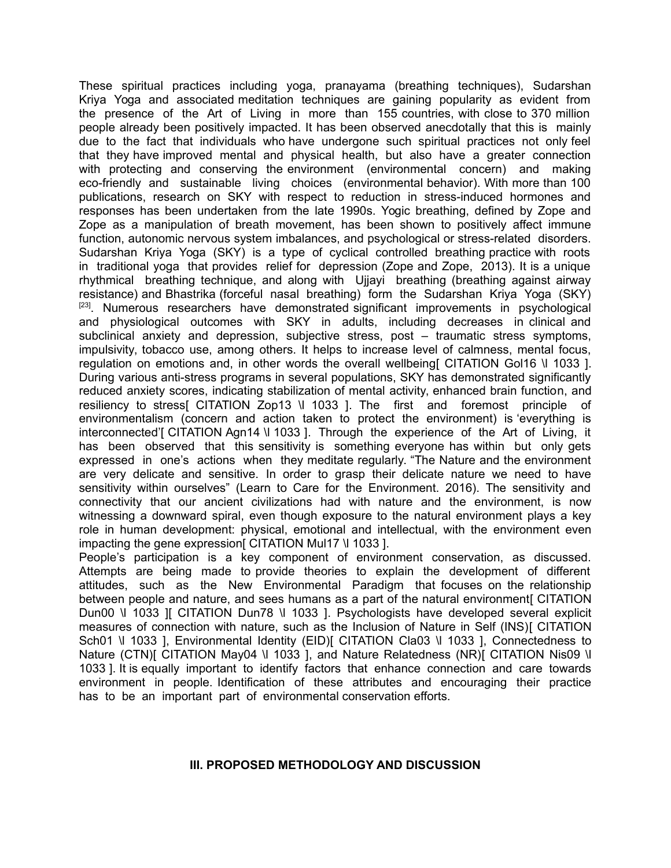These spiritual practices including yoga, pranayama (breathing techniques), Sudarshan Kriya Yoga and associated meditation techniques are gaining popularity as evident from the presence of the Art of Living in more than 155 countries, with close to 370 million people already been positively impacted. It has been observed anecdotally that this is mainly due to the fact that individuals who have undergone such spiritual practices not only feel that they have improved mental and physical health, but also have a greater connection with protecting and conserving the environment (environmental concern) and making eco-friendly and sustainable living choices (environmental behavior). With more than 100 publications, research on SKY with respect to reduction in stress-induced hormones and responses has been undertaken from the late 1990s. Yogic breathing, defined by Zope and Zope as a manipulation of breath movement, has been shown to positively affect immune function, autonomic nervous system imbalances, and psychological or stress-related disorders. Sudarshan Kriya Yoga (SKY) is a type of cyclical controlled breathing practice with roots in traditional yoga that provides relief for depression (Zope and Zope, 2013). It is a unique rhythmical breathing technique, and along with Ujjayi breathing (breathing against airway resistance) and Bhastrika (forceful nasal breathing) form the Sudarshan Kriya Yoga (SKY) <sup>[23]</sup>. Numerous researchers have demonstrated significant improvements in psychological and physiological outcomes with SKY in adults, including decreases in clinical and subclinical anxiety and depression, subjective stress, post – traumatic stress symptoms, impulsivity, tobacco use, among others. It helps to increase level of calmness, mental focus, regulation on emotions and, in other words the overall wellbeing CITATION Gol16 \l 1033 ]. During various anti-stress programs in several populations, SKY has demonstrated significantly reduced anxiety scores, indicating stabilization of mental activity, enhanced brain function, and resiliency to stress[ CITATION Zop13 \l 1033 ]. The first and foremost principle of environmentalism (concern and action taken to protect the environment) is 'everything is interconnected'[ CITATION Agn14 \l 1033 ]. Through the experience of the Art of Living, it has been observed that this sensitivity is something everyone has within but only gets expressed in one's actions when they meditate regularly. "The Nature and the environment are very delicate and sensitive. In order to grasp their delicate nature we need to have sensitivity within ourselves" (Learn to Care for the Environment. 2016). The sensitivity and connectivity that our ancient civilizations had with nature and the environment, is now witnessing a downward spiral, even though exposure to the natural environment plays a key role in human development: physical, emotional and intellectual, with the environment even impacting the gene expression CITATION Mul17 \l 1033 ].

People's participation is a key component of environment conservation, as discussed. Attempts are being made to provide theories to explain the development of different attitudes, such as the New Environmental Paradigm that focuses on the relationship between people and nature, and sees humans as a part of the natural environment CITATION Dun00 \l 1033 ][ CITATION Dun78 \l 1033 ]. Psychologists have developed several explicit measures of connection with nature, such as the Inclusion of Nature in Self (INS)[ CITATION Sch01 \l 1033 ], Environmental Identity (EID)[ CITATION Cla03 \l 1033 ], Connectedness to Nature (CTN)[ CITATION May04 \l 1033 ], and Nature Relatedness (NR)[ CITATION Nis09 \l 1033 ]. It is equally important to identify factors that enhance connection and care towards environment in people. Identification of these attributes and encouraging their practice has to be an important part of environmental conservation efforts.

#### **III. PROPOSED METHODOLOGY AND DISCUSSION**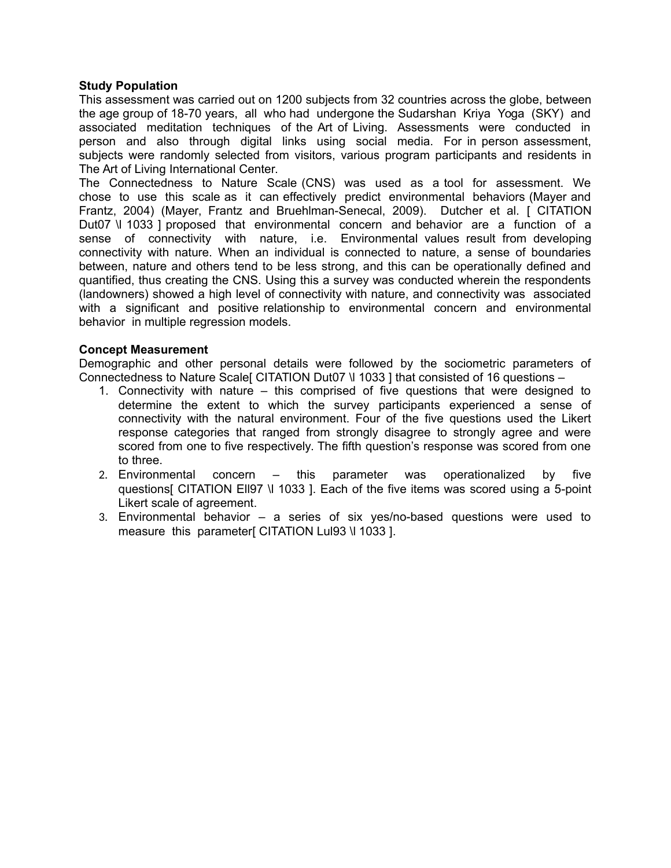### **Study Population**

This assessment was carried out on 1200 subjects from 32 countries across the globe, between the age group of 18-70 years, all who had undergone the Sudarshan Kriya Yoga (SKY) and associated meditation techniques of the Art of Living. Assessments were conducted in person and also through digital links using social media. For in person assessment, subjects were randomly selected from visitors, various program participants and residents in The Art of Living International Center.

The Connectedness to Nature Scale (CNS) was used as a tool for assessment. We chose to use this scale as it can effectively predict environmental behaviors (Mayer and Frantz, 2004) (Mayer, Frantz and Bruehlman-Senecal, 2009). Dutcher et al. [ CITATION Dut07 \l 1033 ] proposed that environmental concern and behavior are a function of a sense of connectivity with nature, i.e. Environmental values result from developing connectivity with nature. When an individual is connected to nature, a sense of boundaries between, nature and others tend to be less strong, and this can be operationally defined and quantified, thus creating the CNS. Using this a survey was conducted wherein the respondents (landowners) showed a high level of connectivity with nature, and connectivity was associated with a significant and positive relationship to environmental concern and environmental behavior in multiple regression models.

#### **Concept Measurement**

Demographic and other personal details were followed by the sociometric parameters of Connectedness to Nature Scale [CITATION Dut07 \l 1033 ] that consisted of 16 questions –

- 1. Connectivity with nature this comprised of five questions that were designed to determine the extent to which the survey participants experienced a sense of connectivity with the natural environment. Four of the five questions used the Likert response categories that ranged from strongly disagree to strongly agree and were scored from one to five respectively. The fifth question's response was scored from one to three.
- 2. Environmental concern this parameter was operationalized by five questions[ CITATION Ell97 \l 1033 ]. Each of the five items was scored using a 5-point Likert scale of agreement.
- 3. Environmental behavior a series of six yes/no-based questions were used to measure this parameter[ CITATION Lul93 \l 1033 ].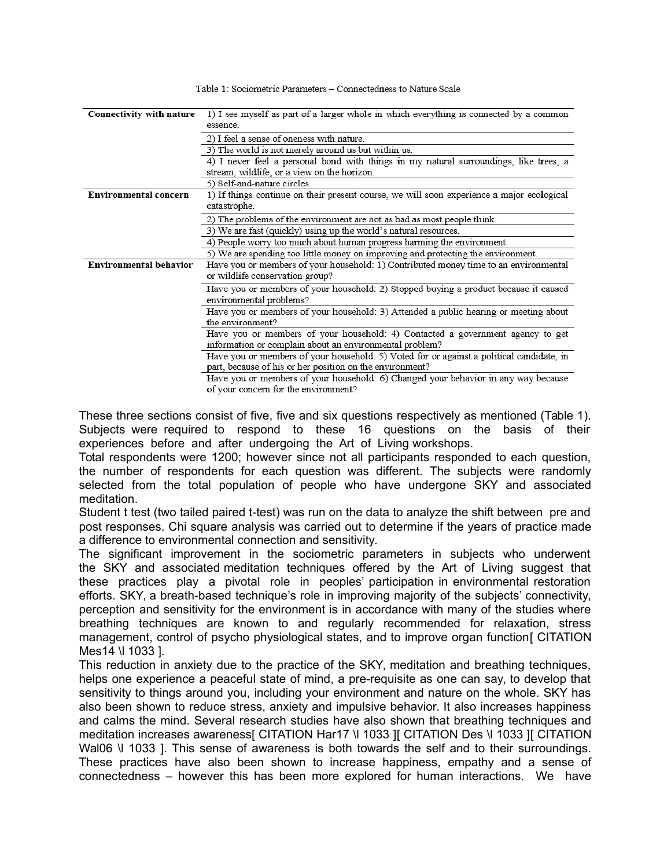| Connectivity with nature      | 1) I see myself as part of a larger whole in which everything is connected by a common    |  |  |  |  |
|-------------------------------|-------------------------------------------------------------------------------------------|--|--|--|--|
|                               | essence.                                                                                  |  |  |  |  |
|                               | 2) I feel a sense of oneness with nature.                                                 |  |  |  |  |
|                               | 3) The world is not merely around us but within us.                                       |  |  |  |  |
|                               | 4) I never feel a personal bond with things in my natural surroundings, like trees, a     |  |  |  |  |
|                               | stream, wildlife, or a view on the horizon.                                               |  |  |  |  |
|                               | 5) Self-and-nature circles.                                                               |  |  |  |  |
| <b>Environmental concern</b>  | 1) If things continue on their present course, we will soon experience a major ecological |  |  |  |  |
|                               | catastrophe.                                                                              |  |  |  |  |
|                               | 2) The problems of the environment are not as bad as most people think.                   |  |  |  |  |
|                               | 3) We are fast (quickly) using up the world's natural resources.                          |  |  |  |  |
|                               | 4) People worry too much about human progress harming the environment.                    |  |  |  |  |
|                               | 5) We are spending too little money on improving and protecting the environment.          |  |  |  |  |
| <b>Environmental behavior</b> | Have you or members of your household: 1) Contributed money time to an environmental      |  |  |  |  |
|                               | or wildlife conservation group?                                                           |  |  |  |  |
|                               | Have you or members of your household: 2) Stopped buying a product because it caused      |  |  |  |  |
|                               | environmental problems?                                                                   |  |  |  |  |
|                               | Have you or members of your household: 3) Attended a public hearing or meeting about      |  |  |  |  |
|                               | the environment?                                                                          |  |  |  |  |
|                               | Have you or members of your household: 4) Contacted a government agency to get            |  |  |  |  |
|                               | information or complain about an environmental problem?                                   |  |  |  |  |
|                               | Have you or members of your household: 5) Voted for or against a political candidate, in  |  |  |  |  |
|                               | part, because of his or her position on the environment?                                  |  |  |  |  |
|                               | Have you or members of your household: 6) Changed your behavior in any way because        |  |  |  |  |
|                               | of your concern for the environment?                                                      |  |  |  |  |

Table 1: Sociometric Parameters - Connectedness to Nature Scale

These three sections consist of five, five and six questions respectively as mentioned (Table 1). Subjects were required to respond to these 16 questions on the basis of their experiences before and after undergoing the Art of Living workshops.

Total respondents were 1200; however since not all participants responded to each question, the number of respondents for each question was different. The subjects were randomly selected from the total population of people who have undergone SKY and associated meditation.

Student t test (two tailed paired t-test) was run on the data to analyze the shift between pre and post responses. Chi square analysis was carried out to determine if the years of practice made a difference to environmental connection and sensitivity.

The significant improvement in the sociometric parameters in subjects who underwent the SKY and associated meditation techniques offered by the Art of Living suggest that these practices play a pivotal role in peoples' participation in environmental restoration efforts. SKY, a breath-based technique's role in improving majority of the subjects' connectivity, perception and sensitivity for the environment is in accordance with many of the studies where breathing techniques are known to and regularly recommended for relaxation, stress management, control of psycho physiological states, and to improve organ function [ CITATION Mes14 \l 1033 ].

This reduction in anxiety due to the practice of the SKY, meditation and breathing techniques, helps one experience a peaceful state of mind, a pre-requisite as one can say, to develop that sensitivity to things around you, including your environment and nature on the whole. SKY has also been shown to reduce stress, anxiety and impulsive behavior. It also increases happiness and calms the mind. Several research studies have also shown that breathing techniques and meditation increases awareness[ CITATION Har17 \l 1033 ][ CITATION Des \l 1033 ][ CITATION Wal06 \l 1033 ]. This sense of awareness is both towards the self and to their surroundings. These practices have also been shown to increase happiness, empathy and a sense of connectedness – however this has been more explored for human interactions. We have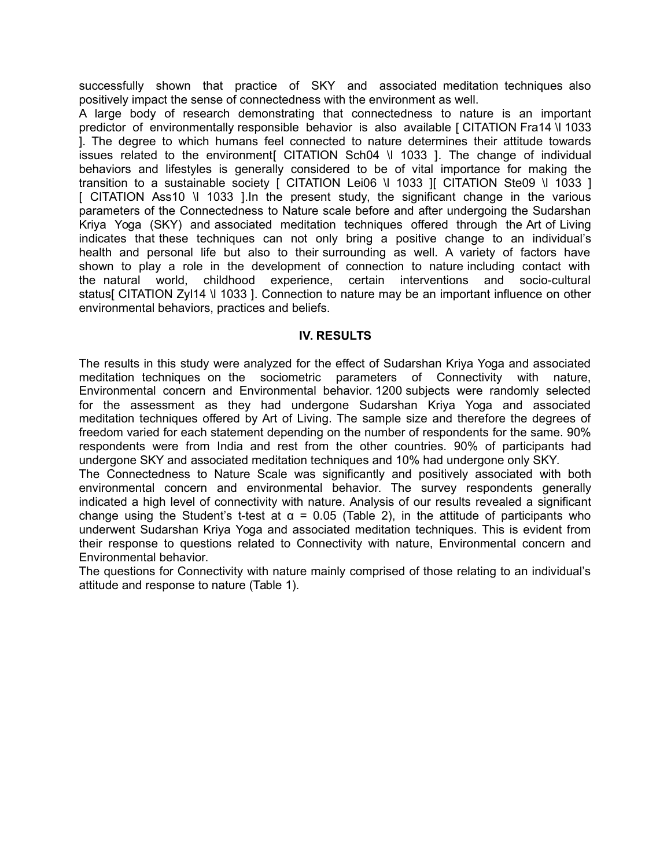successfully shown that practice of SKY and associated meditation techniques also positively impact the sense of connectedness with the environment as well.

A large body of research demonstrating that connectedness to nature is an important predictor of environmentally responsible behavior is also available [ CITATION Fra14 \l 1033 ]. The degree to which humans feel connected to nature determines their attitude towards issues related to the environment[ CITATION Sch04 \l 1033 ]. The change of individual behaviors and lifestyles is generally considered to be of vital importance for making the transition to a sustainable society [ CITATION Lei06 \l 1033 ][ CITATION Ste09 \l 1033 ] [ CITATION Ass10 \l 1033 ].In the present study, the significant change in the various parameters of the Connectedness to Nature scale before and after undergoing the Sudarshan Kriya Yoga (SKY) and associated meditation techniques offered through the Art of Living indicates that these techniques can not only bring a positive change to an individual's health and personal life but also to their surrounding as well. A variety of factors have shown to play a role in the development of connection to nature including contact with the natural world, childhood experience, certain interventions and socio-cultural status[ CITATION ZyI14 \l 1033 ]. Connection to nature may be an important influence on other environmental behaviors, practices and beliefs.

# **IV. RESULTS**

The results in this study were analyzed for the effect of Sudarshan Kriya Yoga and associated meditation techniques on the sociometric parameters of Connectivity with nature, Environmental concern and Environmental behavior. 1200 subjects were randomly selected for the assessment as they had undergone Sudarshan Kriya Yoga and associated meditation techniques offered by Art of Living. The sample size and therefore the degrees of freedom varied for each statement depending on the number of respondents for the same. 90% respondents were from India and rest from the other countries. 90% of participants had undergone SKY and associated meditation techniques and 10% had undergone only SKY.

The Connectedness to Nature Scale was significantly and positively associated with both environmental concern and environmental behavior. The survey respondents generally indicated a high level of connectivity with nature. Analysis of our results revealed a significant change using the Student's t-test at  $\alpha = 0.05$  (Table 2), in the attitude of participants who underwent Sudarshan Kriya Yoga and associated meditation techniques. This is evident from their response to questions related to Connectivity with nature, Environmental concern and Environmental behavior.

The questions for Connectivity with nature mainly comprised of those relating to an individual's attitude and response to nature (Table 1).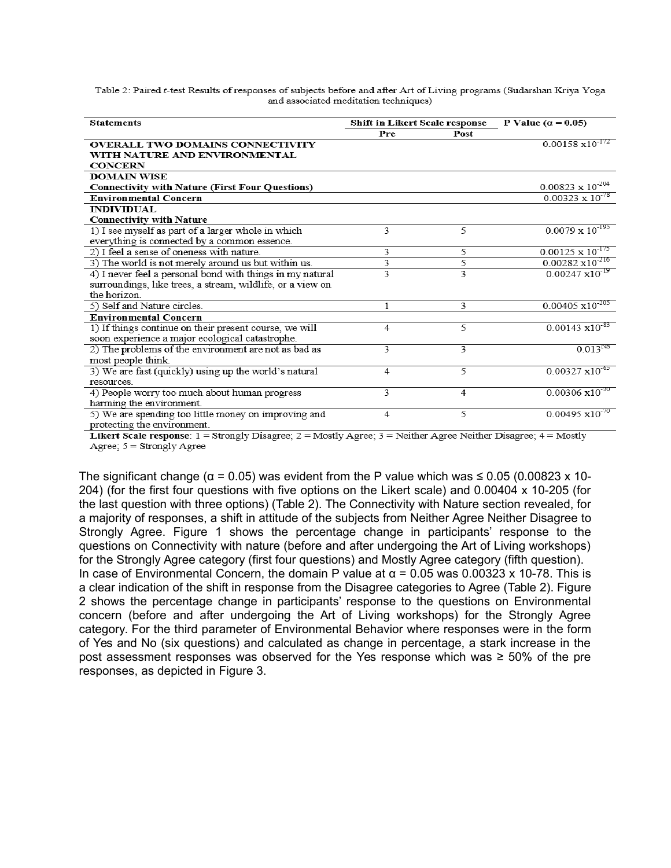Table 2: Paired t-test Results of responses of subjects before and after Art of Living programs (Sudarshan Kriya Yoga and associated meditation techniques)

| <b>Statements</b>                                          | Shift in Likert Scale response |                | P Value ( $\alpha$ = 0.05) |
|------------------------------------------------------------|--------------------------------|----------------|----------------------------|
|                                                            | <b>Pre</b>                     | Post           |                            |
| <b>OVERALL TWO DOMAINS CONNECTIVITY</b>                    |                                |                | $0.00158 \times 10^{-172}$ |
| WITH NATURE AND ENVIRONMENTAL                              |                                |                |                            |
| <b>CONCERN</b>                                             |                                |                |                            |
| <b>DOMAIN WISE</b>                                         |                                |                |                            |
| <b>Connectivity with Nature (First Four Questions)</b>     |                                |                | $0.00823 \times 10^{-204}$ |
| <b>Environmental Concern</b>                               |                                |                | $0.00323 \times 10^{-78}$  |
| <b>INDIVIDUAL</b>                                          |                                |                |                            |
| <b>Connectivity with Nature</b>                            |                                |                |                            |
| 1) I see myself as part of a larger whole in which         | 3                              | 5              | $0.0079 \times 10^{-195}$  |
| everything is connected by a common essence.               |                                |                |                            |
| 2) I feel a sense of oneness with nature.                  | 3                              | 5              | $0.00125 \times 10^{-175}$ |
| 3) The world is not merely around us but within us.        | 3                              | 5              | $0.00282 \times 10^{-216}$ |
| 4) I never feel a personal bond with things in my natural  | 3                              | 3              | $0.00247 \times 10^{-19}$  |
| surroundings, like trees, a stream, wildlife, or a view on |                                |                |                            |
| the horizon.                                               |                                |                |                            |
| 5) Self and Nature circles.                                | 1                              | 3              | $0.00405 \times 10^{-205}$ |
| <b>Environmental Concern</b>                               |                                |                |                            |
| 1) If things continue on their present course, we will     | $\overline{4}$                 | 5              | $0.00143 \times 10^{-83}$  |
| soon experience a major ecological catastrophe.            |                                |                |                            |
| 2) The problems of the environment are not as bad as       | 3                              | 3              | $0.013^{NS}$               |
| most people think.                                         |                                |                |                            |
| 3) We are fast (quickly) using up the world's natural      | $\overline{4}$                 | 5              | $0.00327 \times 10^{-65}$  |
| resources.                                                 |                                |                |                            |
| 4) People worry too much about human progress              | 3                              | $\overline{4}$ | $0.00306 \times 10^{-30}$  |
| harming the environment.                                   |                                |                |                            |
| 5) We are spending too little money on improving and       | $\overline{4}$                 | 5              | $0.00495 \times 10^{-70}$  |
| protecting the environment.                                |                                |                |                            |

Likert Scale response:  $1 =$ Strongly Disagree;  $2 =$ Mostly Agree;  $3 =$ Neither Agree Neither Disagree;  $4 =$ Mostly Agree; 5 = Strongly Agree

The significant change ( $\alpha$  = 0.05) was evident from the P value which was  $\leq$  0.05 (0.00823 x 10-204) (for the first four questions with five options on the Likert scale) and 0.00404 x 10-205 (for the last question with three options) (Table 2). The Connectivity with Nature section revealed, for a majority of responses, a shift in attitude of the subjects from Neither Agree Neither Disagree to Strongly Agree. Figure 1 shows the percentage change in participants' response to the questions on Connectivity with nature (before and after undergoing the Art of Living workshops) for the Strongly Agree category (first four questions) and Mostly Agree category (fifth question). In case of Environmental Concern, the domain P value at  $α = 0.05$  was 0.00323 x 10-78. This is a clear indication of the shift in response from the Disagree categories to Agree (Table 2). Figure 2 shows the percentage change in participants' response to the questions on Environmental concern (before and after undergoing the Art of Living workshops) for the Strongly Agree category. For the third parameter of Environmental Behavior where responses were in the form of Yes and No (six questions) and calculated as change in percentage, a stark increase in the post assessment responses was observed for the Yes response which was  $\geq 50\%$  of the pre responses, as depicted in Figure 3.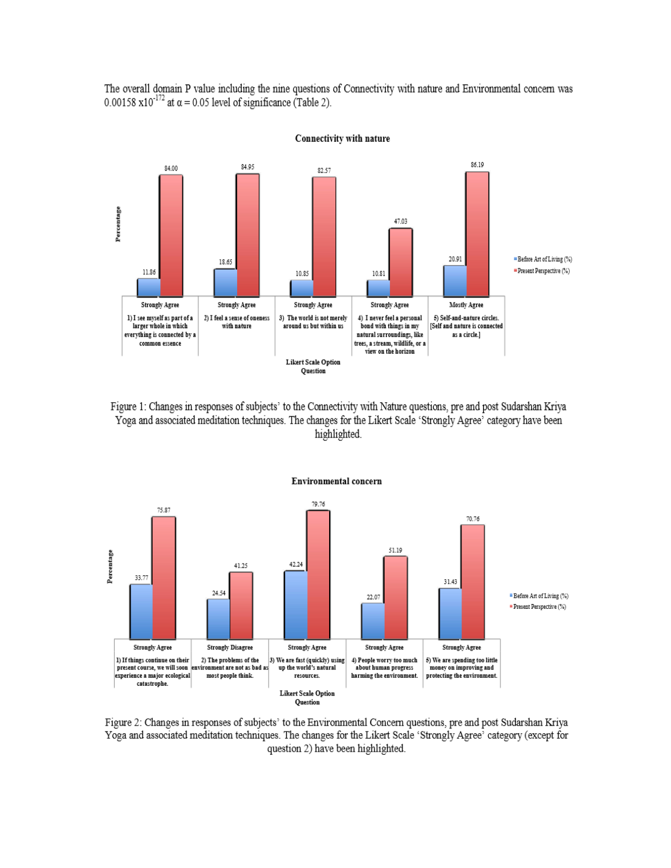The overall domain P value including the nine questions of Connectivity with nature and Environmental concern was 0.00158 x10<sup>-172</sup> at  $\alpha$  = 0.05 level of significance (Table 2).



Connectivity with nature

Figure 1: Changes in responses of subjects' to the Connectivity with Nature questions, pre and post Sudarshan Kriya Yoga and associated meditation techniques. The changes for the Likert Scale 'Strongly Agree' category have been highlighted.



#### **Environmental concern**

Figure 2: Changes in responses of subjects' to the Environmental Concern questions, pre and post Sudarshan Kriya Yoga and associated meditation techniques. The changes for the Likert Scale 'Strongly Agree' category (except for question 2) have been highlighted.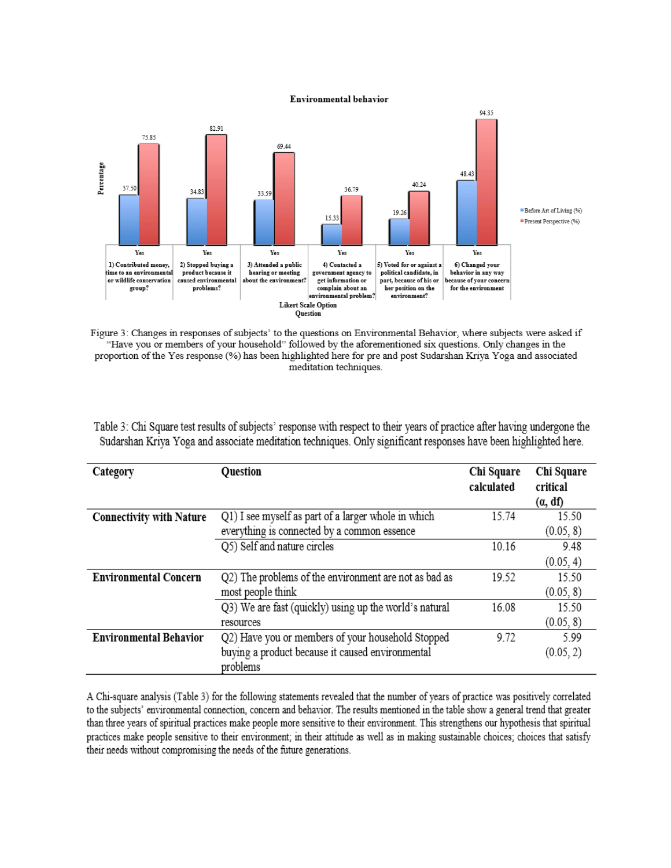#### **Environmental behavior**



Figure 3: Changes in responses of subjects' to the questions on Environmental Behavior, where subjects were asked if "Have you or members of your household" followed by the aforementioned six questions. Only changes in the proportion of the Yes response (%) has been highlighted here for pre and post Sudarshan Kriya Yoga and associated meditation techniques.

| Table 3: Chi Square test results of subjects' response with respect to their years of practice after having undergone the |  |  |
|---------------------------------------------------------------------------------------------------------------------------|--|--|
| Sudarshan Kriva Yoga and associate meditation techniques. Only significant responses have been highlighted here.          |  |  |

| Category                        | Question                                               | Chi Square<br>calculated | Chi Square<br>critical<br>(a, df) |
|---------------------------------|--------------------------------------------------------|--------------------------|-----------------------------------|
| <b>Connectivity with Nature</b> | Q1) I see myself as part of a larger whole in which    | 15.74                    | 15.50                             |
|                                 | everything is connected by a common essence            |                          | (0.05, 8)                         |
|                                 | Q5) Self and nature circles                            | 10.16                    | 9.48                              |
|                                 |                                                        |                          | (0.05, 4)                         |
| <b>Environmental Concern</b>    | Q2) The problems of the environment are not as bad as  | 19.52                    | 15.50                             |
|                                 | most people think                                      |                          | (0.05, 8)                         |
|                                 | Q3) We are fast (quickly) using up the world's natural | 16.08                    | 15.50                             |
|                                 | resources                                              |                          | (0.05, 8)                         |
| <b>Environmental Behavior</b>   | Q2) Have you or members of your household Stopped      | 9.72                     | 5.99                              |
|                                 | buying a product because it caused environmental       |                          | (0.05, 2)                         |
|                                 | problems                                               |                          |                                   |

A Chi-square analysis (Table 3) for the following statements revealed that the number of years of practice was positively correlated to the subjects' environmental connection, concern and behavior. The results mentioned in the table show a general trend that greater than three years of spiritual practices make people more sensitive to their environment. This strengthens our hypothesis that spiritual practices make people sensitive to their environment; in their attitude as well as in making sustainable choices; choices that satisfy their needs without compromising the needs of the future generations.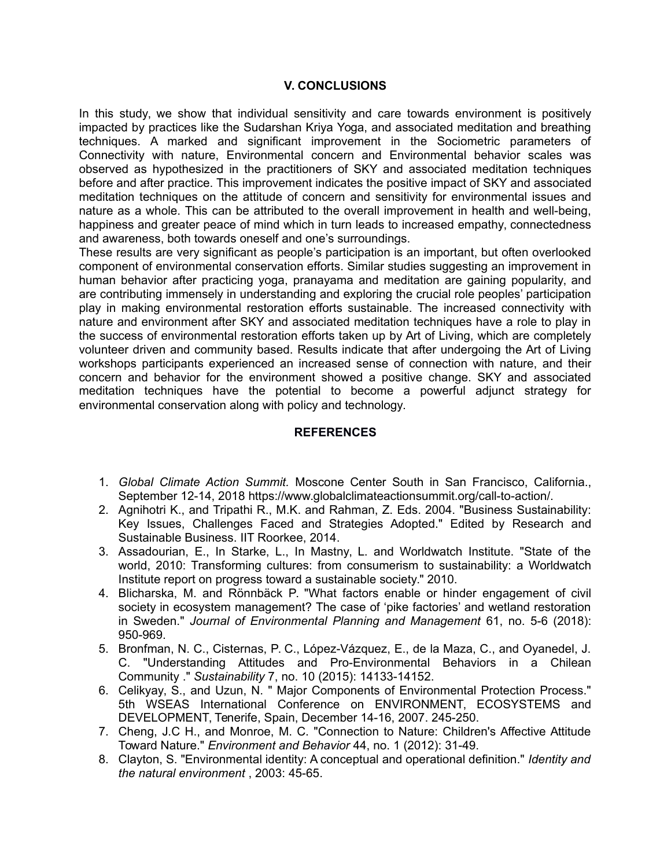# **V. CONCLUSIONS**

In this study, we show that individual sensitivity and care towards environment is positively impacted by practices like the Sudarshan Kriya Yoga, and associated meditation and breathing techniques. A marked and significant improvement in the Sociometric parameters of Connectivity with nature, Environmental concern and Environmental behavior scales was observed as hypothesized in the practitioners of SKY and associated meditation techniques before and after practice. This improvement indicates the positive impact of SKY and associated meditation techniques on the attitude of concern and sensitivity for environmental issues and nature as a whole. This can be attributed to the overall improvement in health and well-being, happiness and greater peace of mind which in turn leads to increased empathy, connectedness and awareness, both towards oneself and one's surroundings.

These results are very significant as people's participation is an important, but often overlooked component of environmental conservation efforts. Similar studies suggesting an improvement in human behavior after practicing yoga, pranayama and meditation are gaining popularity, and are contributing immensely in understanding and exploring the crucial role peoples' participation play in making environmental restoration efforts sustainable. The increased connectivity with nature and environment after SKY and associated meditation techniques have a role to play in the success of environmental restoration efforts taken up by Art of Living, which are completely volunteer driven and community based. Results indicate that after undergoing the Art of Living workshops participants experienced an increased sense of connection with nature, and their concern and behavior for the environment showed a positive change. SKY and associated meditation techniques have the potential to become a powerful adjunct strategy for environmental conservation along with policy and technology.

# **REFERENCES**

- 1. *Global Climate Action Summit.* Moscone Center South in San Francisco, California., September 12-14, 2018 https://www.globalclimateactionsummit.org/call-to-action/.
- 2. Agnihotri K., and Tripathi R., M.K. and Rahman, Z. Eds. 2004. "Business Sustainability: Key Issues, Challenges Faced and Strategies Adopted." Edited by Research and Sustainable Business. IIT Roorkee, 2014.
- 3. Assadourian, E., In Starke, L., In Mastny, L. and Worldwatch Institute. "State of the world, 2010: Transforming cultures: from consumerism to sustainability: a Worldwatch Institute report on progress toward a sustainable society." 2010.
- 4. Blicharska, M. and Rönnbäck P. "What factors enable or hinder engagement of civil society in ecosystem management? The case of 'pike factories' and wetland restoration in Sweden." *Journal of Environmental Planning and Management* 61, no. 5-6 (2018): 950-969.
- 5. Bronfman, N. C., Cisternas, P. C., López-Vázquez, E., de la Maza, C., and Oyanedel, J. C. "Understanding Attitudes and Pro-Environmental Behaviors in a Chilean Community ." *Sustainability* 7, no. 10 (2015): 14133-14152.
- 6. Celikyay, S., and Uzun, N. " Major Components of Environmental Protection Process." 5th WSEAS International Conference on ENVIRONMENT, ECOSYSTEMS and DEVELOPMENT, Tenerife, Spain, December 14-16, 2007. 245-250.
- 7. Cheng, J.C H., and Monroe, M. C. "Connection to Nature: Children's Affective Attitude Toward Nature." *Environment and Behavior* 44, no. 1 (2012): 31-49.
- 8. Clayton, S. "Environmental identity: A conceptual and operational definition." *Identity and the natural environment* , 2003: 45-65.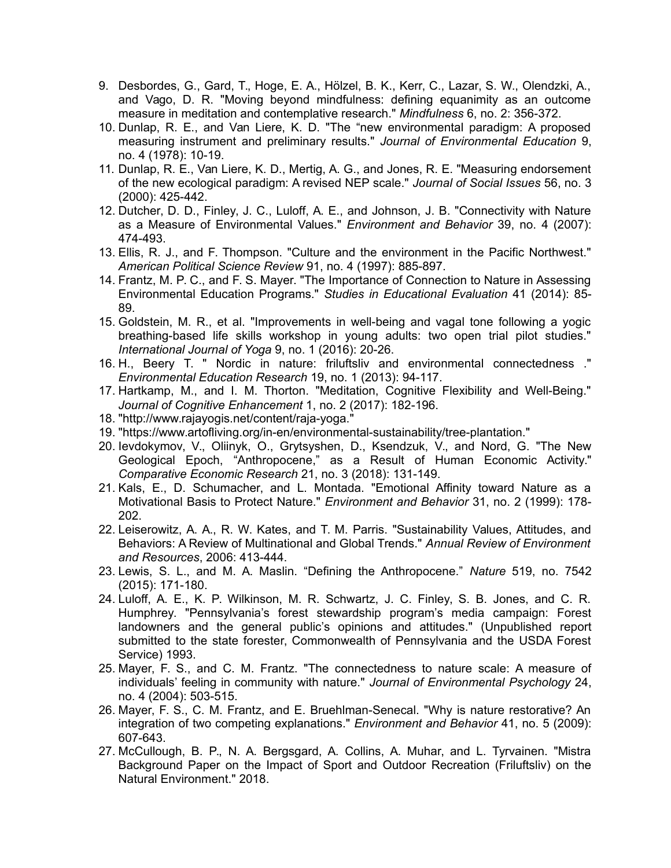- 9. Desbordes, G., Gard, T., Hoge, E. A., Hölzel, B. K., Kerr, C., Lazar, S. W., Olendzki, A., and Vago, D. R. "Moving beyond mindfulness: defining equanimity as an outcome measure in meditation and contemplative research." *Mindfulness* 6, no. 2: 356-372.
- 10. Dunlap, R. E., and Van Liere, K. D. "The "new environmental paradigm: A proposed measuring instrument and preliminary results." *Journal of Environmental Education* 9, no. 4 (1978): 10-19.
- 11. Dunlap, R. E., Van Liere, K. D., Mertig, A. G., and Jones, R. E. "Measuring endorsement of the new ecological paradigm: A revised NEP scale." *Journal of Social Issues* 56, no. 3 (2000): 425-442.
- 12. Dutcher, D. D., Finley, J. C., Luloff, A. E., and Johnson, J. B. "Connectivity with Nature as a Measure of Environmental Values." *Environment and Behavior* 39, no. 4 (2007): 474-493.
- 13. Ellis, R. J., and F. Thompson. "Culture and the environment in the Pacific Northwest." *American Political Science Review* 91, no. 4 (1997): 885-897.
- 14. Frantz, M. P. C., and F. S. Mayer. "The Importance of Connection to Nature in Assessing Environmental Education Programs." *Studies in Educational Evaluation* 41 (2014): 85- 89.
- 15. Goldstein, M. R., et al. "Improvements in well-being and vagal tone following a yogic breathing-based life skills workshop in young adults: two open trial pilot studies." *International Journal of Yoga* 9, no. 1 (2016): 20-26.
- 16. H., Beery T. " Nordic in nature: friluftsliv and environmental connectedness ." *Environmental Education Research* 19, no. 1 (2013): 94-117.
- 17. Hartkamp, M., and I. M. Thorton. "Meditation, Cognitive Flexibility and Well-Being." *Journal of Cognitive Enhancement* 1, no. 2 (2017): 182-196.
- 18. "http://www.rajayogis.net/content/raja-yoga."
- 19. "https://www.artofliving.org/in-en/environmental-sustainability/tree-plantation."
- 20. Ievdokymov, V., Oliinyk, O., Grytsyshen, D., Ksendzuk, V., and Nord, G. "The New Geological Epoch, "Anthropocene," as a Result of Human Economic Activity." *Comparative Economic Research* 21, no. 3 (2018): 131-149.
- 21. Kals, E., D. Schumacher, and L. Montada. "Emotional Affinity toward Nature as a Motivational Basis to Protect Nature." *Environment and Behavior* 31, no. 2 (1999): 178- 202.
- 22. Leiserowitz, A. A., R. W. Kates, and T. M. Parris. "Sustainability Values, Attitudes, and Behaviors: A Review of Multinational and Global Trends." *Annual Review of Environment and Resources*, 2006: 413-444.
- 23. Lewis, S. L., and M. A. Maslin. "Defining the Anthropocene." *Nature* 519, no. 7542 (2015): 171-180.
- 24. Luloff, A. E., K. P. Wilkinson, M. R. Schwartz, J. C. Finley, S. B. Jones, and C. R. Humphrey. "Pennsylvania's forest stewardship program's media campaign: Forest landowners and the general public's opinions and attitudes." (Unpublished report submitted to the state forester, Commonwealth of Pennsylvania and the USDA Forest Service) 1993.
- 25. Mayer, F. S., and C. M. Frantz. "The connectedness to nature scale: A measure of individuals' feeling in community with nature." *Journal of Environmental Psychology* 24, no. 4 (2004): 503-515.
- 26. Mayer, F. S., C. M. Frantz, and E. Bruehlman-Senecal. "Why is nature restorative? An integration of two competing explanations." *Environment and Behavior* 41, no. 5 (2009): 607-643.
- 27. McCullough, B. P., N. A. Bergsgard, A. Collins, A. Muhar, and L. Tyrvainen. "Mistra Background Paper on the Impact of Sport and Outdoor Recreation (Friluftsliv) on the Natural Environment." 2018.